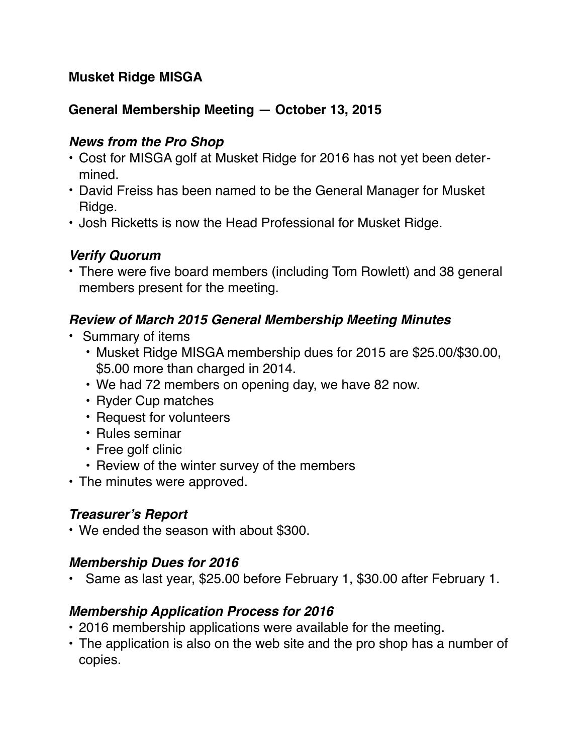## **Musket Ridge MISGA**

### **General Membership Meeting — October 13, 2015**

#### *News from the Pro Shop*

- Cost for MISGA golf at Musket Ridge for 2016 has not yet been determined.
- David Freiss has been named to be the General Manager for Musket Ridge.
- Josh Ricketts is now the Head Professional for Musket Ridge.

## *Verify Quorum*

• There were five board members (including Tom Rowlett) and 38 general members present for the meeting.

### *Review of March 2015 General Membership Meeting Minutes*

- Summary of items
	- Musket Ridge MISGA membership dues for 2015 are \$25.00/\$30.00, \$5.00 more than charged in 2014.
	- We had 72 members on opening day, we have 82 now.
	- Ryder Cup matches
	- Request for volunteers
	- Rules seminar
	- Free golf clinic
	- Review of the winter survey of the members
- The minutes were approved.

# *Treasurer's Report*

• We ended the season with about \$300.

### *Membership Dues for 2016*

• Same as last year, \$25.00 before February 1, \$30.00 after February 1.

### *Membership Application Process for 2016*

- 2016 membership applications were available for the meeting.
- The application is also on the web site and the pro shop has a number of copies.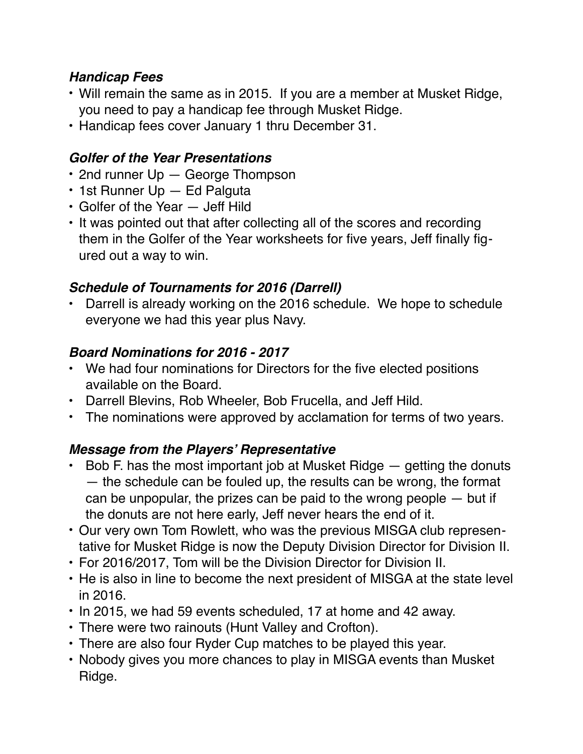## *Handicap Fees*

- Will remain the same as in 2015. If you are a member at Musket Ridge, you need to pay a handicap fee through Musket Ridge.
- Handicap fees cover January 1 thru December 31.

## *Golfer of the Year Presentations*

- 2nd runner Up George Thompson
- 1st Runner Up Ed Palguta
- Golfer of the Year Jeff Hild
- It was pointed out that after collecting all of the scores and recording them in the Golfer of the Year worksheets for five years, Jeff finally figured out a way to win.

# *Schedule of Tournaments for 2016 (Darrell)*

• Darrell is already working on the 2016 schedule. We hope to schedule everyone we had this year plus Navy.

## *Board Nominations for 2016 - 2017*

- We had four nominations for Directors for the five elected positions available on the Board.
- Darrell Blevins, Rob Wheeler, Bob Frucella, and Jeff Hild.
- The nominations were approved by acclamation for terms of two years.

# *Message from the Players' Representative*

- $\cdot$  Bob F. has the most important job at Musket Ridge  $-$  getting the donuts — the schedule can be fouled up, the results can be wrong, the format can be unpopular, the prizes can be paid to the wrong people — but if the donuts are not here early, Jeff never hears the end of it.
- Our very own Tom Rowlett, who was the previous MISGA club representative for Musket Ridge is now the Deputy Division Director for Division II.
- For 2016/2017, Tom will be the Division Director for Division II.
- He is also in line to become the next president of MISGA at the state level in 2016.
- In 2015, we had 59 events scheduled, 17 at home and 42 away.
- There were two rainouts (Hunt Valley and Crofton).
- There are also four Ryder Cup matches to be played this year.
- Nobody gives you more chances to play in MISGA events than Musket Ridge.